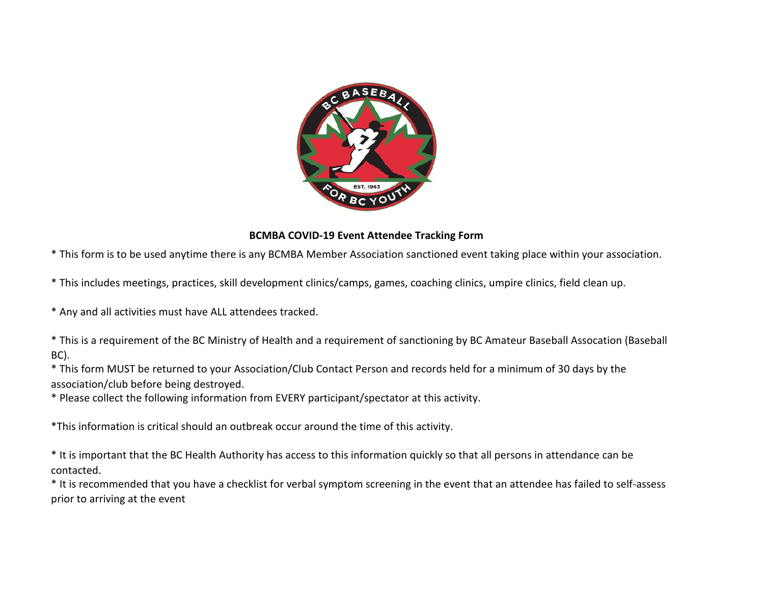

## **BCMBA COVID-19 Event Attendee Tracking Form**

\* This form is to be used anytime there is any BCMBA Member Association sanctioned event taking place within your association.

\* This includes meetings, practices, skill development clinics/camps, games, coaching clinics, umpire clinics, field clean up.

\* Any and all activities must have ALL attendees tracked.

\* This is a requirement of the BC Ministry of Health and a requirement of sanctioning by BC Amateur Baseball Assocation (Baseball BC).

\* This form MUST be returned to your Association/Club Contact Person and records held for a minimum of 30 days by the association/club before being destroyed.

\* Please collect the following information from EVERY participant/spectator at this activity.

\*This information is critical should an outbreak occur around the time of this activity.

\* It is important that the BC Health Authority has access to this information quickly so that all persons in attendance can be contacted.

\* It is recommended that you have a checklist for verbal symptom screening in the event that an attendee has failed to self-assess prior to arriving at the event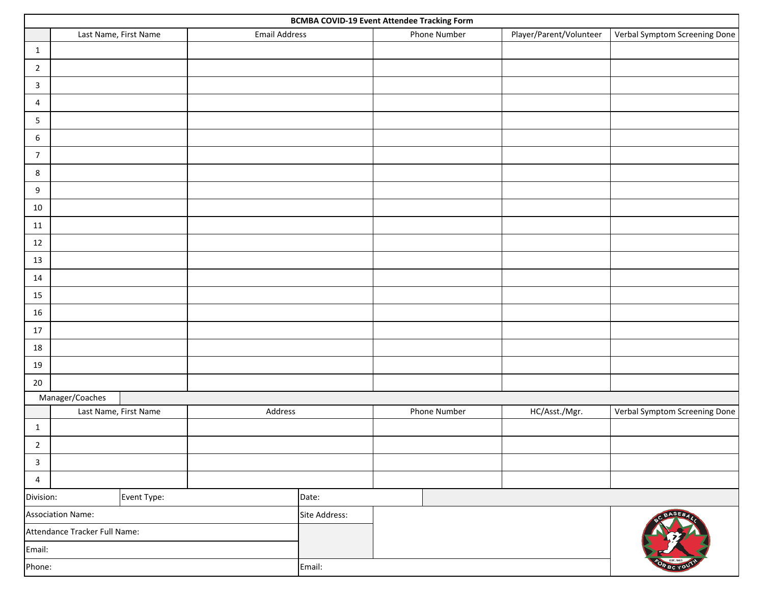| <b>BCMBA COVID-19 Event Attendee Tracking Form</b> |                       |                       |                      |        |              |              |                         |                               |
|----------------------------------------------------|-----------------------|-----------------------|----------------------|--------|--------------|--------------|-------------------------|-------------------------------|
|                                                    |                       | Last Name, First Name | <b>Email Address</b> |        |              | Phone Number | Player/Parent/Volunteer | Verbal Symptom Screening Done |
| 1                                                  |                       |                       |                      |        |              |              |                         |                               |
| $\overline{2}$                                     |                       |                       |                      |        |              |              |                         |                               |
| $\mathbf{3}$                                       |                       |                       |                      |        |              |              |                         |                               |
| 4                                                  |                       |                       |                      |        |              |              |                         |                               |
| 5                                                  |                       |                       |                      |        |              |              |                         |                               |
| 6                                                  |                       |                       |                      |        |              |              |                         |                               |
| $\overline{7}$                                     |                       |                       |                      |        |              |              |                         |                               |
| 8                                                  |                       |                       |                      |        |              |              |                         |                               |
| 9                                                  |                       |                       |                      |        |              |              |                         |                               |
| 10                                                 |                       |                       |                      |        |              |              |                         |                               |
| 11                                                 |                       |                       |                      |        |              |              |                         |                               |
| 12                                                 |                       |                       |                      |        |              |              |                         |                               |
| 13                                                 |                       |                       |                      |        |              |              |                         |                               |
| 14                                                 |                       |                       |                      |        |              |              |                         |                               |
| 15                                                 |                       |                       |                      |        |              |              |                         |                               |
| 16                                                 |                       |                       |                      |        |              |              |                         |                               |
| 17                                                 |                       |                       |                      |        |              |              |                         |                               |
| 18                                                 |                       |                       |                      |        |              |              |                         |                               |
| 19                                                 |                       |                       |                      |        |              |              |                         |                               |
| 20                                                 |                       |                       |                      |        |              |              |                         |                               |
| Manager/Coaches                                    |                       |                       |                      |        |              |              |                         |                               |
|                                                    | Last Name, First Name |                       | Address              |        | Phone Number |              | HC/Asst./Mgr.           | Verbal Symptom Screening Done |
| $\mathbf{1}$                                       |                       |                       |                      |        |              |              |                         |                               |
| $\overline{2}$                                     |                       |                       |                      |        |              |              |                         |                               |
| $\overline{\mathbf{3}}$                            |                       |                       |                      |        |              |              |                         |                               |
| $\overline{4}$                                     |                       |                       |                      |        |              |              |                         |                               |
| Event Type:<br>Division:                           |                       |                       | Date:                |        |              |              | <b>BASEB</b>            |                               |
| Association Name:                                  |                       |                       | Site Address:        |        |              |              |                         |                               |
| Attendance Tracker Full Name:                      |                       |                       |                      |        |              |              |                         |                               |
| Email:                                             |                       |                       |                      |        |              |              | OR BC YO'               |                               |
| Phone:                                             |                       |                       |                      | Email: |              |              |                         |                               |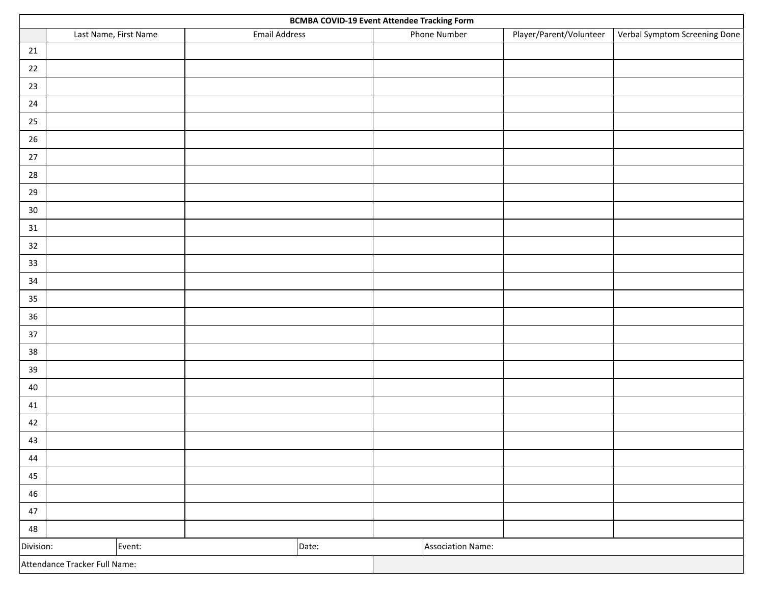|                               | <b>BCMBA COVID-19 Event Attendee Tracking Form</b> |                      |  |                          |              |                         |                               |  |
|-------------------------------|----------------------------------------------------|----------------------|--|--------------------------|--------------|-------------------------|-------------------------------|--|
|                               | Last Name, First Name                              | <b>Email Address</b> |  |                          | Phone Number | Player/Parent/Volunteer | Verbal Symptom Screening Done |  |
| 21                            |                                                    |                      |  |                          |              |                         |                               |  |
| 22                            |                                                    |                      |  |                          |              |                         |                               |  |
| $23\,$                        |                                                    |                      |  |                          |              |                         |                               |  |
| 24                            |                                                    |                      |  |                          |              |                         |                               |  |
| 25                            |                                                    |                      |  |                          |              |                         |                               |  |
| 26                            |                                                    |                      |  |                          |              |                         |                               |  |
| $27$                          |                                                    |                      |  |                          |              |                         |                               |  |
| 28                            |                                                    |                      |  |                          |              |                         |                               |  |
| 29                            |                                                    |                      |  |                          |              |                         |                               |  |
| $30\,$                        |                                                    |                      |  |                          |              |                         |                               |  |
| 31                            |                                                    |                      |  |                          |              |                         |                               |  |
| $32\,$                        |                                                    |                      |  |                          |              |                         |                               |  |
| 33                            |                                                    |                      |  |                          |              |                         |                               |  |
| 34                            |                                                    |                      |  |                          |              |                         |                               |  |
| 35                            |                                                    |                      |  |                          |              |                         |                               |  |
| $36\,$                        |                                                    |                      |  |                          |              |                         |                               |  |
| 37                            |                                                    |                      |  |                          |              |                         |                               |  |
| 38                            |                                                    |                      |  |                          |              |                         |                               |  |
| $39\,$                        |                                                    |                      |  |                          |              |                         |                               |  |
| 40                            |                                                    |                      |  |                          |              |                         |                               |  |
| 41                            |                                                    |                      |  |                          |              |                         |                               |  |
| 42                            |                                                    |                      |  |                          |              |                         |                               |  |
| 43                            |                                                    |                      |  |                          |              |                         |                               |  |
| 44                            |                                                    |                      |  |                          |              |                         |                               |  |
| 45                            |                                                    |                      |  |                          |              |                         |                               |  |
| 46                            |                                                    |                      |  |                          |              |                         |                               |  |
| 47                            |                                                    |                      |  |                          |              |                         |                               |  |
| 48                            |                                                    |                      |  |                          |              |                         |                               |  |
| Division:                     | Event:<br>Date:                                    |                      |  | <b>Association Name:</b> |              |                         |                               |  |
| Attendance Tracker Full Name: |                                                    |                      |  |                          |              |                         |                               |  |